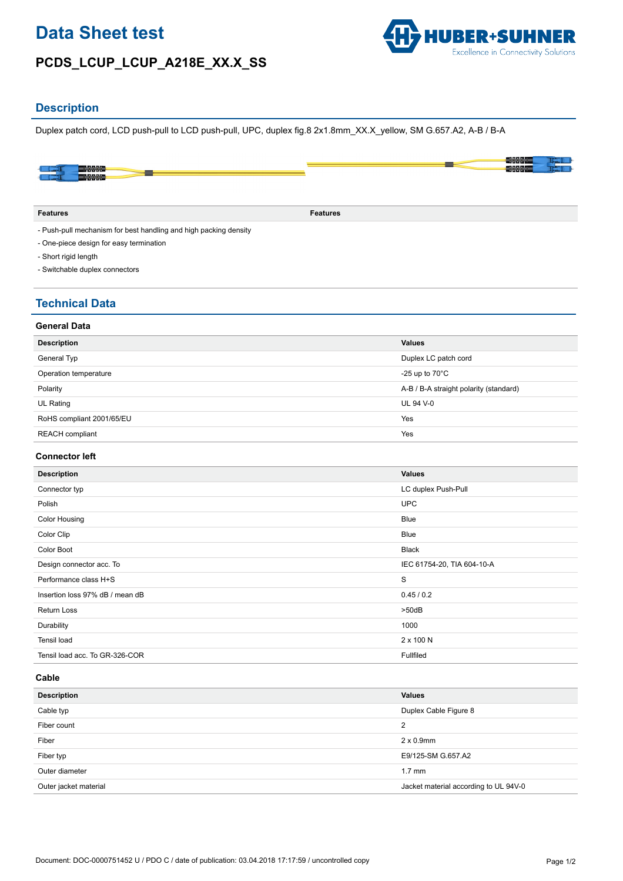# **Data Sheet test**

# **PCDS\_LCUP\_LCUP\_A218E\_XX.X\_SS**



### **Description**

Duplex patch cord, LCD push-pull to LCD push-pull, UPC, duplex fig.8 2x1.8mm\_XX.X\_yellow, SM G.657.A2, A-B / B-A



- Push-pull mechanism for best handling and high packing density

- One-piece design for easy termination
- Short rigid length
- Switchable duplex connectors

### **Technical Data**

| <b>Description</b>        | <b>Values</b>                          |
|---------------------------|----------------------------------------|
| General Typ               | Duplex LC patch cord                   |
| Operation temperature     | -25 up to $70^{\circ}$ C               |
| Polarity                  | A-B / B-A straight polarity (standard) |
| UL Rating                 | <b>UL 94 V-0</b>                       |
| RoHS compliant 2001/65/EU | Yes                                    |
| <b>REACH</b> compliant    | Yes                                    |
|                           |                                        |

### **Connector left**

| <b>Description</b>              | <b>Values</b>              |
|---------------------------------|----------------------------|
| Connector typ                   | LC duplex Push-Pull        |
| Polish                          | <b>UPC</b>                 |
| <b>Color Housing</b>            | <b>Blue</b>                |
| Color Clip                      | Blue                       |
| Color Boot                      | <b>Black</b>               |
| Design connector acc. To        | IEC 61754-20, TIA 604-10-A |
| Performance class H+S           | S                          |
| Insertion loss 97% dB / mean dB | 0.45/0.2                   |
| <b>Return Loss</b>              | $>50$ d $B$                |
| Durability                      | 1000                       |
| Tensil load                     | 2 x 100 N                  |
| Tensil load acc. To GR-326-COR  | Fullfiled                  |

#### **Cable**

| <b>Description</b>    | <b>Values</b>                         |
|-----------------------|---------------------------------------|
| Cable typ             | Duplex Cable Figure 8                 |
| Fiber count           | $\overline{2}$                        |
| Fiber                 | $2 \times 0.9$ mm                     |
| Fiber typ             | E9/125-SM G.657.A2                    |
| Outer diameter        | $1.7 \text{ mm}$                      |
| Outer jacket material | Jacket material according to UL 94V-0 |
|                       |                                       |